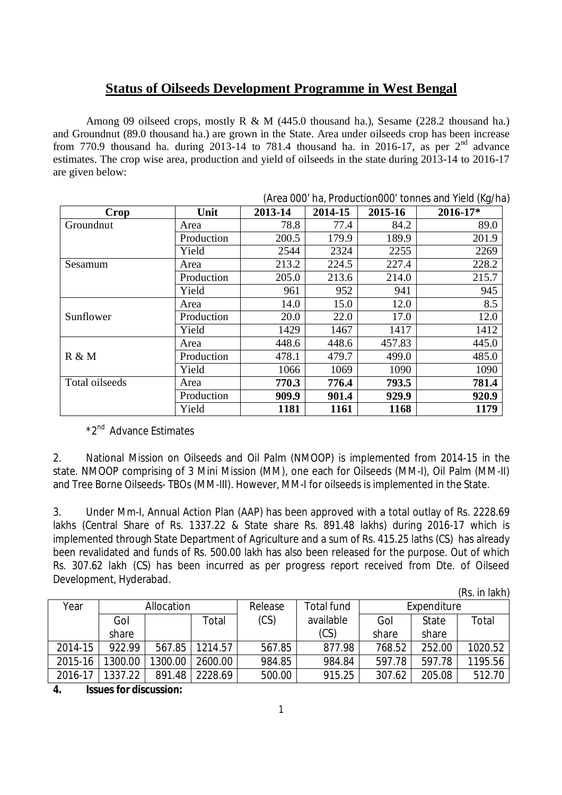## **Status of Oilseeds Development Programme in West Bengal**

Among 09 oilseed crops, mostly R & M  $(445.0 \text{ thousand ha.})$ , Sesame  $(228.2 \text{ thousand ha.})$ and Groundnut (89.0 thousand ha.) are grown in the State. Area under oilseeds crop has been increase from 770.9 thousand ha. during 2013-14 to 781.4 thousand ha. in 2016-17, as per  $2<sup>nd</sup>$  advance estimates. The crop wise area, production and yield of oilseeds in the state during 2013-14 to 2016-17 are given below:

|                       |            |         |         |         | (Area 000' ha, Production000' tonnes and Yield (Kg/ha) |
|-----------------------|------------|---------|---------|---------|--------------------------------------------------------|
| Crop                  | Unit       | 2013-14 | 2014-15 | 2015-16 | 2016-17*                                               |
| Groundnut             | Area       | 78.8    | 77.4    | 84.2    | 89.0                                                   |
|                       | Production | 200.5   | 179.9   | 189.9   | 201.9                                                  |
|                       | Yield      | 2544    | 2324    | 2255    | 2269                                                   |
| Sesamum               | Area       | 213.2   | 224.5   | 227.4   | 228.2                                                  |
|                       | Production | 205.0   | 213.6   | 214.0   | 215.7                                                  |
|                       | Yield      | 961     | 952     | 941     | 945                                                    |
|                       | Area       | 14.0    | 15.0    | 12.0    | 8.5                                                    |
| Sunflower             | Production | 20.0    | 22.0    | 17.0    | 12.0                                                   |
|                       | Yield      | 1429    | 1467    | 1417    | 1412                                                   |
|                       | Area       | 448.6   | 448.6   | 457.83  | 445.0                                                  |
| R & M                 | Production | 478.1   | 479.7   | 499.0   | 485.0                                                  |
|                       | Yield      | 1066    | 1069    | 1090    | 1090                                                   |
| <b>Total oilseeds</b> | Area       | 770.3   | 776.4   | 793.5   | 781.4                                                  |
|                       | Production | 909.9   | 901.4   | 929.9   | 920.9                                                  |
|                       | Yield      | 1181    | 1161    | 1168    | 1179                                                   |

### \*2<sup>nd</sup> Advance Estimates

2. National Mission on Oilseeds and Oil Palm (NMOOP) is implemented from 2014-15 in the state. NMOOP comprising of 3 Mini Mission (MM), one each for Oilseeds (MM-I), Oil Palm (MM-II) and Tree Borne Oilseeds- TBOs (MM-III). However, MM-I for oilseeds is implemented in the State.

3. Under Mm-I, Annual Action Plan (AAP) has been approved with a total outlay of Rs. 2228.69 lakhs (Central Share of Rs. 1337.22 & State share Rs. 891.48 lakhs) during 2016-17 which is implemented through State Department of Agriculture and a sum of Rs. 415.25 laths (CS) has already been revalidated and funds of Rs. 500.00 lakh has also been released for the purpose. Out of which Rs. 307.62 lakh (CS) has been incurred as per progress report received from Dte. of Oilseed Development, Hyderabad.

|         |        |            |         |         |            |        |             | (Rs. in lakh) |
|---------|--------|------------|---------|---------|------------|--------|-------------|---------------|
| Year    |        | Allocation |         | Release | Total fund |        | Expenditure |               |
|         | Gol    |            | Total   | (CS)    | available  | Gol    | State       | Total         |
|         | share  |            |         |         | (CS)       | share  | share       |               |
| 2014-15 | 922.99 | 567.85     | 1214.57 | 567.85  | 877.98     | 768.52 | 252.00      | 1020.52       |
| 2015-16 | 300.00 | 300.00     | 2600.00 | 984.85  | 984.84     | 597.78 | 597.78      | 1195.56       |
| 2016-17 | 337.22 | 891.48     | 2228.69 | 500.00  | 915.25     | 307.62 | 205.08      | 512.70        |

**4. Issues for discussion:**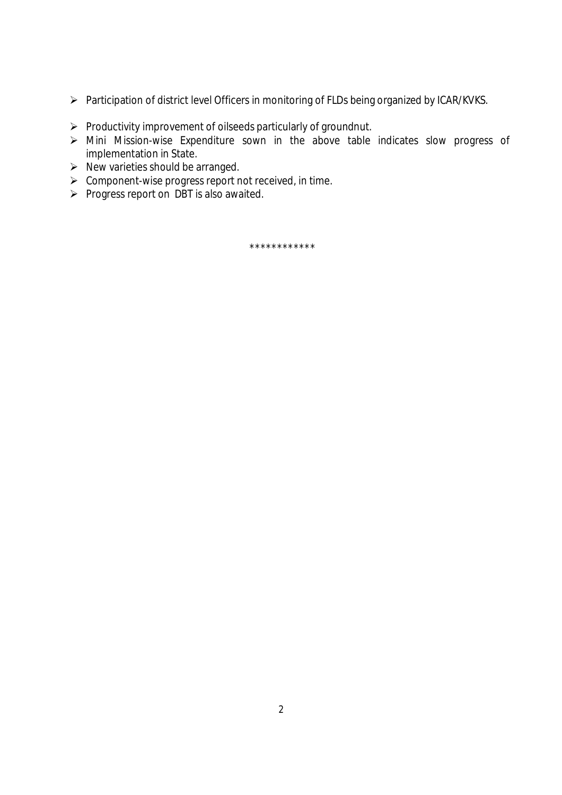- Participation of district level Officers in monitoring of FLDs being organized by ICAR/KVKS.
- $\triangleright$  Productivity improvement of oilseeds particularly of groundnut.
- > Mini Mission-wise Expenditure sown in the above table indicates slow progress of implementation in State.
- $\triangleright$  New varieties should be arranged.
- $\triangleright$  Component-wise progress report not received, in time.
- Progress report on DBT is also awaited.

\*\*\*\*\*\*\*\*\*\*\*\*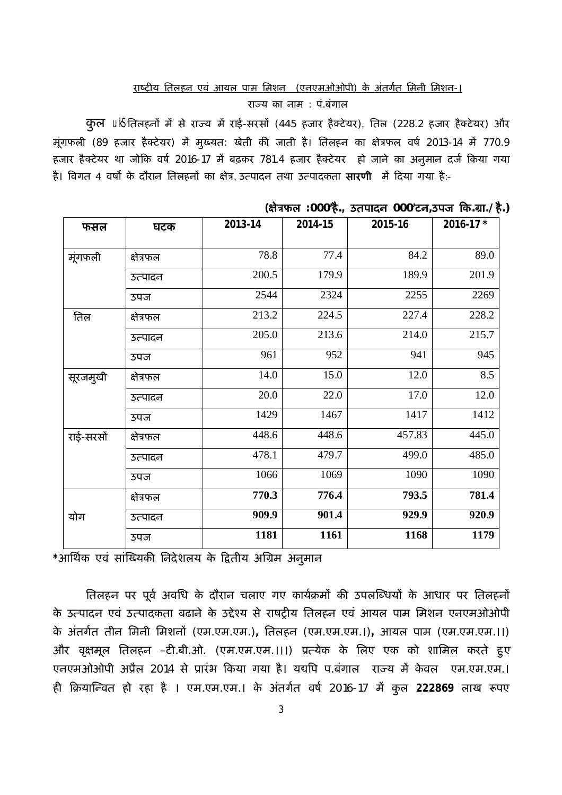## राष्ट्रीय तिलहन एवं आयल पाम मिशन (एनएमओओपी) के अंतर्गत मिनी मिशन-। राज्य का नाम $\pm$  पं.बंगाल

कुल uß तिलहनों में से राज्य में राई-सरसों (445 हजार हैक्टेयर), तिल (228.2 हजार हैक्टेयर) और मूंगफली (89 हजार हैक्टेयर) में मुख्यत: खेती की जाती है। तिलहन का क्षेत्रफल वर्ष 2013-14 में 770.9 हजार हैक्टेयर था जोकि वर्ष 2016-17 में बढ़कर 781.4 हजार हैक्टेयर हो जाने का अनुमान दर्ज किया गया है। विगत 4 वर्षों के दौरान तिलहनों का क्षेत्र, उत्पादन तथा उत्पादकता **सारणी** में दिया गया है:-

| फसल       | घटक       | 2013-14 | 2014-15 | 2015-16 | 2016-17* |
|-----------|-----------|---------|---------|---------|----------|
|           |           |         |         |         |          |
| मूंगफली   | क्षेत्रफल | 78.8    | 77.4    | 84.2    | 89.0     |
|           | उत्पादन   | 200.5   | 179.9   | 189.9   | 201.9    |
|           | उपज       | 2544    | 2324    | 2255    | 2269     |
| तिल       | क्षेत्रफल | 213.2   | 224.5   | 227.4   | 228.2    |
|           | उत्पादन   | 205.0   | 213.6   | 214.0   | 215.7    |
|           | उपज       | 961     | 952     | 941     | 945      |
| सूरजमुखी  | क्षेत्रफल | 14.0    | 15.0    | 12.0    | 8.5      |
|           | उत्पादन   | 20.0    | 22.0    | 17.0    | 12.0     |
|           | उपज       | 1429    | 1467    | 1417    | 1412     |
| राई-सरसों | क्षेत्रफल | 448.6   | 448.6   | 457.83  | 445.0    |
|           | उत्पादन   | 478.1   | 479.7   | 499.0   | 485.0    |
|           | उपज       | 1066    | 1069    | 1090    | 1090     |
|           | क्षेत्रफल | 770.3   | 776.4   | 793.5   | 781.4    |
| योग       | उत्पादन   | 909.9   | 901.4   | 929.9   | 920.9    |
|           | उपज       | 1181    | 1161    | 1168    | 1179     |

**(¢ेğफल :000'है., उतपादन 000'टन,उपज Ǒक.Ēा./है.)**

**\***आिथ[क एवं सांǔÉयकȧ िनदेशलय के ǑƮतीय अिĒम अनुमान

तिलहन पर पूर्व अवधि के दौरान चलाए गए कार्यक्रमों की उपलब्धियों के आधार पर तिलहनों के उत्पादन एवं उत्पादकता बढाने के उद्देश्य से राषट्रीय तिलहन एवं आयल पाम मिशन एनएमओओपी के अंतग[त तीन िमनी िमशनɉ (एम.एम.एम.)**,** ितलहन (एम.एम.एम.।)**,** आयल पाम (एम.एम.एम.।।) और वृक्षमूल तिलहन –टी.बी.ओ. (एम.एम.एम.।।।) प्रत्येक के लिए एक को शामिल करते हुए एनएमओओपी अप्रैल 2014 से प्रारंभ किया गया है। यद्यपि प.बंगाल राज्य में केवल एम.एम.एम.। ही क्रियान्वित हो रहा है । एम.एम.एम.। के अंतर्गत वर्ष 2016-17 में कुल 222869 लाख रूपए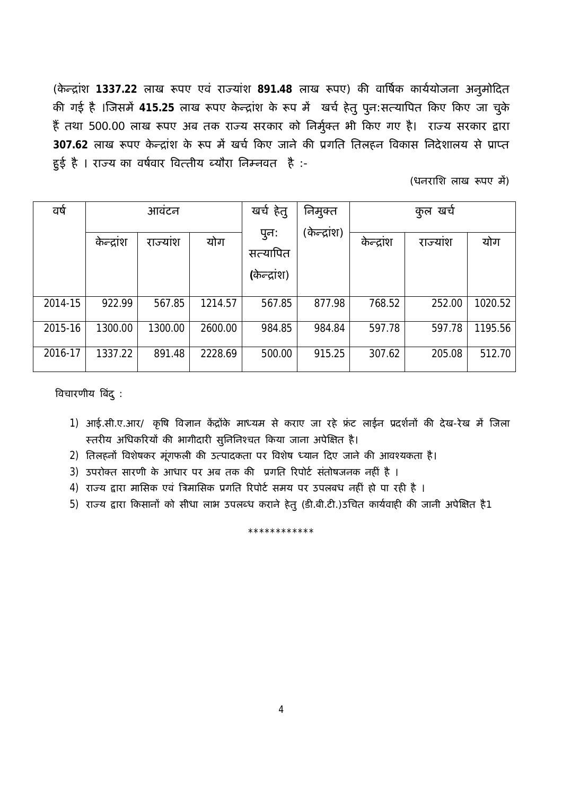(केन्द्रांश 1337.22 लाख रूपए एवं राज्यांश 891.48 लाख रूपए) की वार्षिक कार्ययोजना अनुमोदित की गई है ।जिसमें 415.25 लाख रूपए केन्द्रांश के रूप में खर्च हेतु पुन:सत्यापित किए किए जा चुके हैं तथा 500.00 लाख रूपए अब तक राज्य सरकार को निर्मुक्त भी किए गए है। राज्य सरकार द्वारा 307.62 लाख रूपए केन्द्रांश के रूप में खर्च किए जाने की प्रगति तिलहन विकास निदेशालय से प्राप्त हुई है । राज्य का वर्षवार वित्तीय ब्यौरा निम्नवत है :-

(धनराशि लाख रूपए में)

| वर्ष    |            | आवटन    |         | खर्च हेतु        | निमुक्त      |            | खर्च<br>कुल |         |
|---------|------------|---------|---------|------------------|--------------|------------|-------------|---------|
|         | केन्द्रांश | राज्याश | योग     | पुनः<br>सत्यापित | (केन्द्रांश) | केन्द्रांश | राज्याश     | योग     |
|         |            |         |         | (केन्द्रांश)     |              |            |             |         |
| 2014-15 | 922.99     | 567.85  | 1214.57 | 567.85           | 877.98       | 768.52     | 252.00      | 1020.52 |
| 2015-16 | 1300.00    | 1300.00 | 2600.00 | 984.85           | 984.84       | 597.78     | 597.78      | 1195.56 |
| 2016-17 | 1337.22    | 891.48  | 2228.69 | 500.00           | 915.25       | 307.62     | 205.08      | 512.70  |

ǒवचारणीय ǒबंदु :

- 1) आई.सी.ए.आर/ कृषि विज्ञान केंद्रोंके माध्यम से कराए जा रहे फ्रंट लाईन प्रदर्शनों की देख-रेख में जिला स्तरीय अधिकरियों की भागीदारी सुनिनिश्चत किया जाना अपेक्षित है।
- 2) तिलहनों विशेषकर मूंगफली की उत्पादकता पर विशेष ध्यान दिए जाने की आवश्यकता है।
- 3) उपरोक्त सारणी के आधार पर अब तक की प्रगति रिपोर्ट संतोषजनक नहीं है ।
- 4) राज्य द्वारा मासिक एवं त्रिमासिक प्रगति रिपोर्ट समय पर उपलबध नहीं हो पा रही है ।
- 5) राज्य द्वारा किसानों को सीधा लाभ उपलब्ध कराने हेतु (डी.बी.टी.)उचित कार्यवाही की जानी अपेक्षित है1

\*\*\*\*\*\*\*\*\*\*\*\*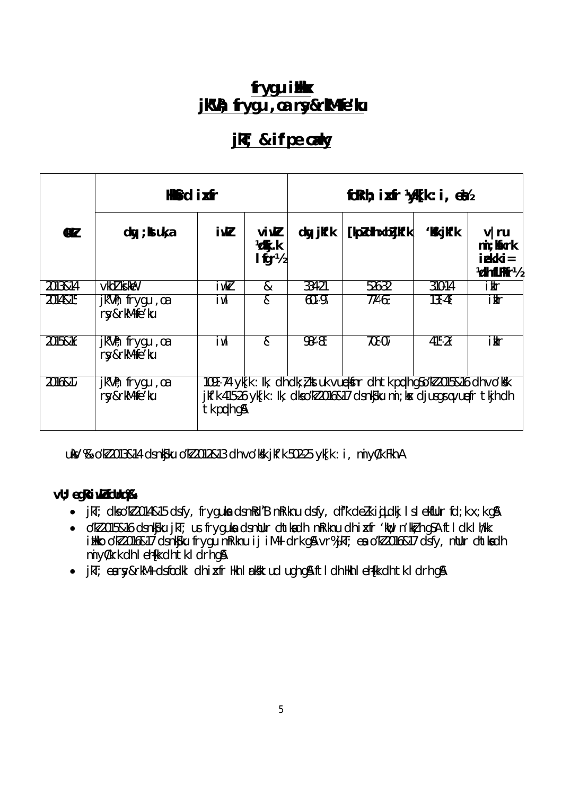# frygu ilkx jkVft; frygu , oa ry&rKN+fe'lu

# jk j & if pe cxky

|         | <b>HKGrd ixfr</b>                  |            |                                       |          | for $h$ , $ikf$ $k$ $k$ : $i$ , $ek$                                                                                                                      |           |                                                           |
|---------|------------------------------------|------------|---------------------------------------|----------|-----------------------------------------------------------------------------------------------------------------------------------------------------------|-----------|-----------------------------------------------------------|
| QK RZ   | $dy$ ; ktuk, a                     | i wk       | viw<br><b>16kj.k</b><br>$I$ fgr $V_2$ | dw jlf'k | [kpZdh xbZjK'k]                                                                                                                                           | 'kk jlf'k | v ru<br>$mi;$ K $x$ rk<br>iekk i=<br><b>16th fLFKr1/2</b> |
| 2013&14 | ∨kb1 ki kilė                       | iwkZ       | &                                     | 334-21   | 526-32                                                                                                                                                    | 310-14    | ikir                                                      |
| 2014&15 | jk"Vħ; frygu ,oa<br>ry&rkM+fe'ku   | iwk        | &                                     | 602-97   | 774-63                                                                                                                                                    | 138-48    | itir                                                      |
| 2015&16 | jk"Vh; frygu , oa<br>ry&rkM+fe'ku  | iwki       | &                                     | 984-85   | 708-07                                                                                                                                                    | 415-26    | ikir                                                      |
| 2016&17 | jk"Vih; frygu ,oa<br>rsy&rkM+fe'ku | tk podh g& |                                       |          | 1093–74 yk[k : lk, dh dk; ¿ kstuk vuękinr dh tk pidhqSo"k22015&16 dh vo'ksk<br>jkf'k 415-26 yk[k : lk, dkso"k2016&17 dsnk\$ku mi; kx djusgrqvuefr tkjh dh |           |                                                           |

uky % o"k2013&14 dsnkjku o"k2012&13 dh vo'kk jkf'k 502-25 yk[k : i, miyCk Fkh A

### vU; eqRoiwkIcUnq%

- · jkT; dkso"k2014&15 dsfy, fryguka dsmRd"B mRiknu dsfy, df"k delk igLdkj Islekflur fd;k x;k g&
- · o"k2015&16 dsnkjku jkT; us fryguka dsmllur chtkadh mRiknu dhixfr 'kwi; n'kkih qSA ftldk lh/kk ilkko o"k2016&17 dsnkjku frygu mRiknu ij iM+ldrk g\$vr%jkT; ea o"k2016&17 dsfy, mUur chtkadh miyükrkdh lehkkdh tkldrhg&
- jkT; earsy&rkM+ dsfodkl dhixfr Hkh Irksktud ugh g& ftldh Hkh I eh{kk dh tk I drh g&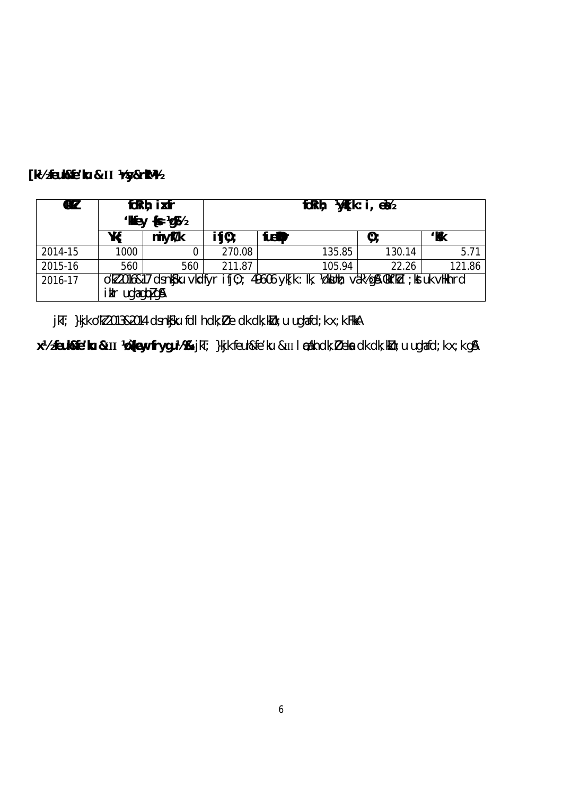| OK IZ   |                | foRrh; ixfr<br>$^{\prime}$ Wiey { $\approx$ 14 $\frac{3}{2}$ |         | for $h$ , $w$ $k$ : $i$ , $e$ $k$                                                         |            |        |
|---------|----------------|--------------------------------------------------------------|---------|-------------------------------------------------------------------------------------------|------------|--------|
|         | YK;            | $mi$ yf $0k$                                                 | ifj0; ; | fueDr                                                                                     | $\bm{0}$ ; | 'Kk    |
| 2014-15 | 1000           | 0                                                            | 270.08  | 135.85                                                                                    | 130.14     | 5.71   |
| 2015-16 | 560            | 560                                                          | 211.87  | 105.94                                                                                    | 22.26      | 121.86 |
| 2016-17 |                |                                                              |         | o" 2016&17 dsnKjku vkdfyr ifj0;; 49606 yk[k : lk, ¼dthh; vák½g\$ 0klf" kd ; kstuk vHkh rd |            |        |
|         | ikir ughaghlg& |                                                              |         |                                                                                           |            |        |

**[k-½ feuh&fe'ku & II ¼rsy&rkM+½** 

jkT; }kjk o"kZ 2013&2014 ds nk $\frac{1}{2}$ ku fdlh dk; $\mathcal{D}e$  dk dk;k $\mathcal{U}o$ ; u ughafd;k x;k FkkA

**x½ feuh&fe'ku &III ¼{key frygu½ %** jkT; }kjk feuh&fe'ku &III l cakh dk; Øeks dk dk;kUo;u ughafd;k x;k g&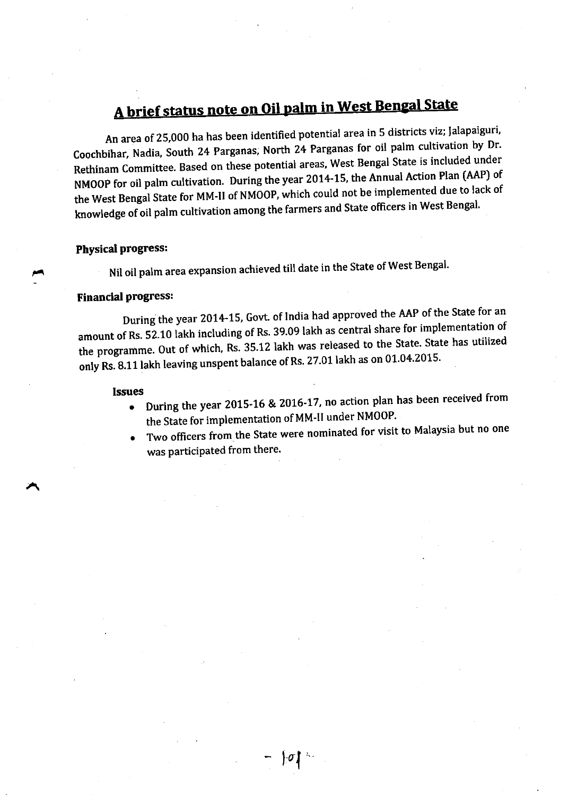# <u>A brief status note on Oil palm in West Bengal State</u>

An area of 25,000 ha has been identified potential area in 5 districts viz; Jalapaiguri, Coochbihar, Nadia, South 24 Parganas, North 24 Parganas for oil palm cultivation by Dr. Rethinam Committee. Based on these potential areas, West Bengal State is included under NMOOP for oil palm cultivation. During the year 2014-15, the Annual Action Plan (AAP) of the West Bengal State for MM-II of NMOOP, which could not be implemented due to lack of knowledge of oil palm cultivation among the farmers and State officers in West Bengal.

#### **Physical progress:**

Nil oil palm area expansion achieved till date in the State of West Bengal.

#### **Financial progress:**

During the year 2014-15, Govt. of India had approved the AAP of the State for an amount of Rs. 52.10 lakh including of Rs. 39.09 lakh as central share for implementation of the programme. Out of which, Rs. 35.12 lakh was released to the State. State has utilized only Rs. 8.11 lakh leaving unspent balance of Rs. 27.01 lakh as on 01.04.2015.

#### **Issues**

- During the year 2015-16 & 2016-17, no action plan has been received from the State for implementation of MM-II under NMOOP.
- Two officers from the State were nominated for visit to Malaysia but no one was participated from there.